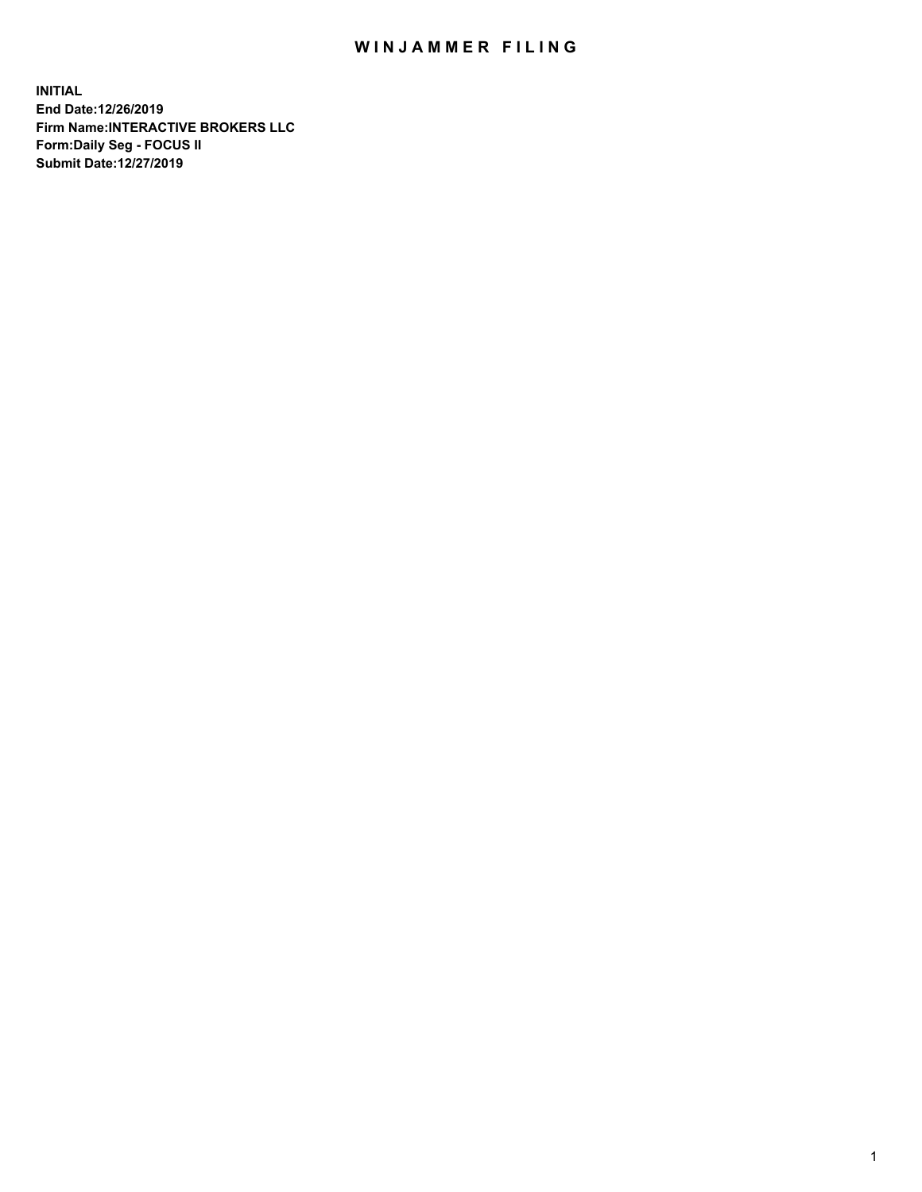## WIN JAMMER FILING

**INITIAL End Date:12/26/2019 Firm Name:INTERACTIVE BROKERS LLC Form:Daily Seg - FOCUS II Submit Date:12/27/2019**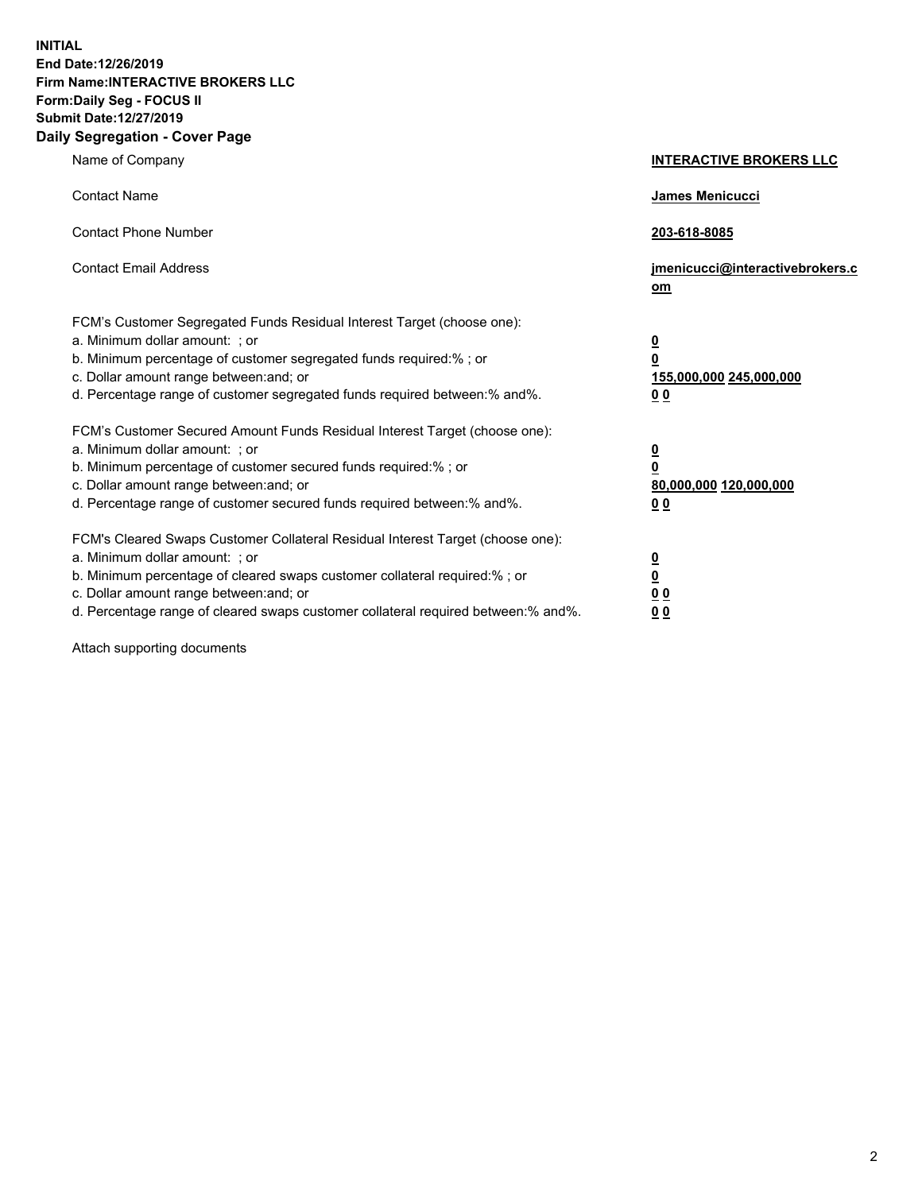**INITIAL End Date:12/26/2019 Firm Name:INTERACTIVE BROKERS LLC Form:Daily Seg - FOCUS II Submit Date:12/27/2019 Daily Segregation - Cover Page**

| Name of Company                                                                                                                                                                                                                                                                                                                | <b>INTERACTIVE BROKERS LLC</b>                                                                  |
|--------------------------------------------------------------------------------------------------------------------------------------------------------------------------------------------------------------------------------------------------------------------------------------------------------------------------------|-------------------------------------------------------------------------------------------------|
| <b>Contact Name</b>                                                                                                                                                                                                                                                                                                            | James Menicucci                                                                                 |
| <b>Contact Phone Number</b>                                                                                                                                                                                                                                                                                                    | 203-618-8085                                                                                    |
| <b>Contact Email Address</b>                                                                                                                                                                                                                                                                                                   | jmenicucci@interactivebrokers.c<br>om                                                           |
| FCM's Customer Segregated Funds Residual Interest Target (choose one):<br>a. Minimum dollar amount: ; or<br>b. Minimum percentage of customer segregated funds required:%; or<br>c. Dollar amount range between: and; or<br>d. Percentage range of customer segregated funds required between:% and%.                          | $\overline{\mathbf{0}}$<br>$\overline{\mathbf{0}}$<br>155,000,000 245,000,000<br>0 <sub>0</sub> |
| FCM's Customer Secured Amount Funds Residual Interest Target (choose one):<br>a. Minimum dollar amount: ; or<br>b. Minimum percentage of customer secured funds required:% ; or<br>c. Dollar amount range between: and; or<br>d. Percentage range of customer secured funds required between:% and%.                           | $\overline{\mathbf{0}}$<br>$\overline{\mathbf{0}}$<br>80,000,000 120,000,000<br>0 <sub>0</sub>  |
| FCM's Cleared Swaps Customer Collateral Residual Interest Target (choose one):<br>a. Minimum dollar amount: ; or<br>b. Minimum percentage of cleared swaps customer collateral required:% ; or<br>c. Dollar amount range between: and; or<br>d. Percentage range of cleared swaps customer collateral required between:% and%. | $\overline{\mathbf{0}}$<br>$\underline{\mathbf{0}}$<br>0 <sub>0</sub><br>0 <sub>0</sub>         |

Attach supporting documents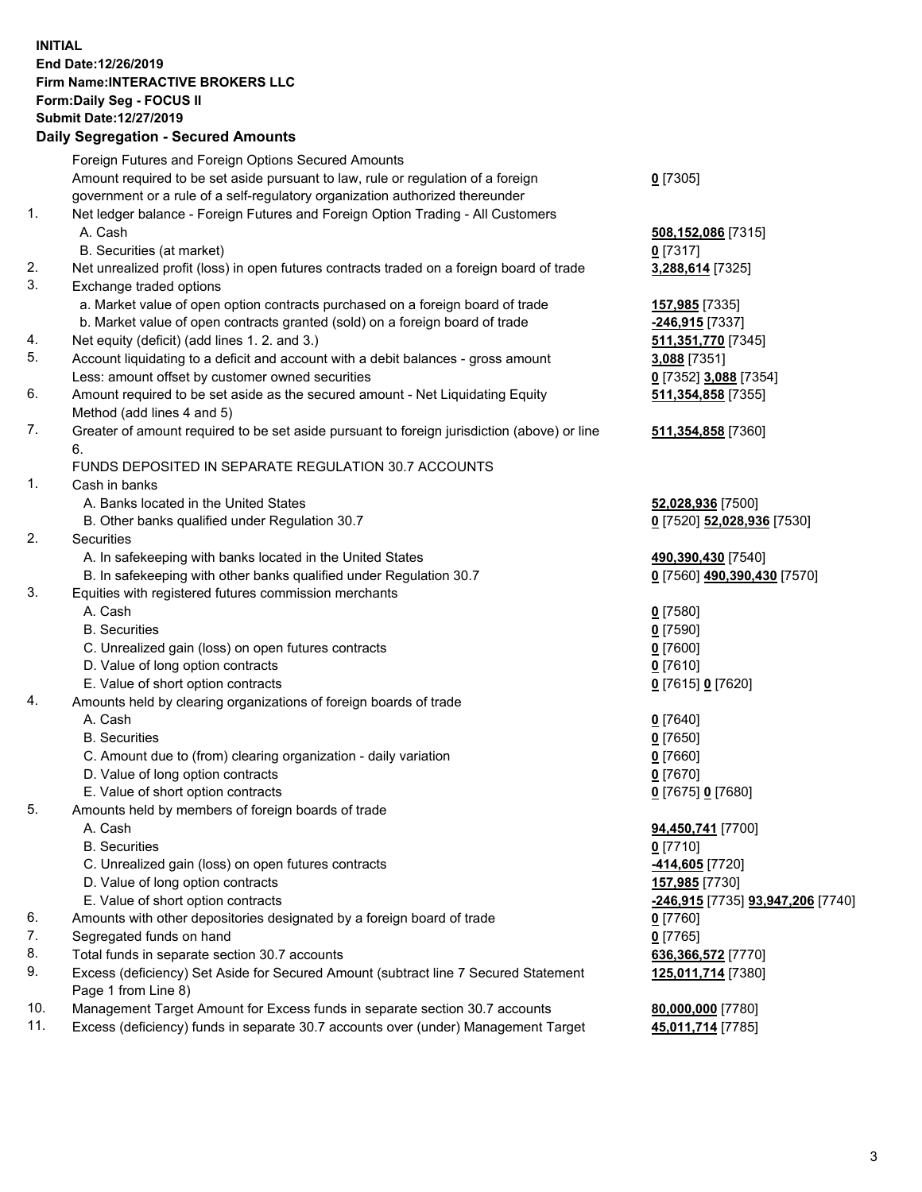## **INITIAL End Date:12/26/2019 Firm Name:INTERACTIVE BROKERS LLC Form:Daily Seg - FOCUS II Submit Date:12/27/2019 Daily Segregation - Secured Amounts**

|     | Daily Segregation - Secured Alliounts                                                       |                                   |
|-----|---------------------------------------------------------------------------------------------|-----------------------------------|
|     | Foreign Futures and Foreign Options Secured Amounts                                         |                                   |
|     | Amount required to be set aside pursuant to law, rule or regulation of a foreign            | $0$ [7305]                        |
|     | government or a rule of a self-regulatory organization authorized thereunder                |                                   |
| 1.  | Net ledger balance - Foreign Futures and Foreign Option Trading - All Customers             |                                   |
|     | A. Cash                                                                                     | 508,152,086 [7315]                |
|     | B. Securities (at market)                                                                   | $0$ [7317]                        |
| 2.  | Net unrealized profit (loss) in open futures contracts traded on a foreign board of trade   | 3,288,614 [7325]                  |
| 3.  | Exchange traded options                                                                     |                                   |
|     | a. Market value of open option contracts purchased on a foreign board of trade              | 157,985 [7335]                    |
|     | b. Market value of open contracts granted (sold) on a foreign board of trade                | -246,915 [7337]                   |
| 4.  | Net equity (deficit) (add lines 1.2. and 3.)                                                | 511,351,770 [7345]                |
| 5.  | Account liquidating to a deficit and account with a debit balances - gross amount           | 3,088 [7351]                      |
|     | Less: amount offset by customer owned securities                                            | 0 [7352] 3,088 [7354]             |
| 6.  | Amount required to be set aside as the secured amount - Net Liquidating Equity              | 511,354,858 [7355]                |
|     | Method (add lines 4 and 5)                                                                  |                                   |
| 7.  | Greater of amount required to be set aside pursuant to foreign jurisdiction (above) or line | 511,354,858 [7360]                |
|     | 6.                                                                                          |                                   |
|     | FUNDS DEPOSITED IN SEPARATE REGULATION 30.7 ACCOUNTS                                        |                                   |
| 1.  | Cash in banks                                                                               |                                   |
|     | A. Banks located in the United States                                                       | 52,028,936 [7500]                 |
|     | B. Other banks qualified under Regulation 30.7                                              | 0 [7520] 52,028,936 [7530]        |
| 2.  | Securities                                                                                  |                                   |
|     | A. In safekeeping with banks located in the United States                                   | 490,390,430 [7540]                |
|     | B. In safekeeping with other banks qualified under Regulation 30.7                          | 0 [7560] 490,390,430 [7570]       |
| 3.  | Equities with registered futures commission merchants                                       |                                   |
|     | A. Cash                                                                                     | $0$ [7580]                        |
|     | <b>B.</b> Securities                                                                        | $0$ [7590]                        |
|     | C. Unrealized gain (loss) on open futures contracts                                         | $0$ [7600]                        |
|     | D. Value of long option contracts                                                           | $0$ [7610]                        |
|     | E. Value of short option contracts                                                          | 0 [7615] 0 [7620]                 |
| 4.  | Amounts held by clearing organizations of foreign boards of trade                           |                                   |
|     | A. Cash                                                                                     | $0$ [7640]                        |
|     | <b>B.</b> Securities                                                                        | $0$ [7650]                        |
|     | C. Amount due to (from) clearing organization - daily variation                             | $0$ [7660]                        |
|     | D. Value of long option contracts                                                           | $0$ [7670]                        |
|     | E. Value of short option contracts                                                          | 0 [7675] 0 [7680]                 |
| 5.  | Amounts held by members of foreign boards of trade                                          |                                   |
|     | A. Cash                                                                                     | 94,450,741 [7700]                 |
|     | <b>B.</b> Securities                                                                        | $0$ [7710]                        |
|     | C. Unrealized gain (loss) on open futures contracts                                         | -414,605 <sup>[7720]</sup>        |
|     | D. Value of long option contracts                                                           | 157,985 [7730]                    |
|     | E. Value of short option contracts                                                          | -246,915 [7735] 93,947,206 [7740] |
| 6.  | Amounts with other depositories designated by a foreign board of trade                      | $0$ [7760]                        |
| 7.  | Segregated funds on hand                                                                    | $0$ [7765]                        |
| 8.  | Total funds in separate section 30.7 accounts                                               | 636,366,572 [7770]                |
| 9.  | Excess (deficiency) Set Aside for Secured Amount (subtract line 7 Secured Statement         | 125,011,714 [7380]                |
|     | Page 1 from Line 8)                                                                         |                                   |
| 10. | Management Target Amount for Excess funds in separate section 30.7 accounts                 | 80,000,000 [7780]                 |
| 11. | Excess (deficiency) funds in separate 30.7 accounts over (under) Management Target          | 45,011,714 [7785]                 |
|     |                                                                                             |                                   |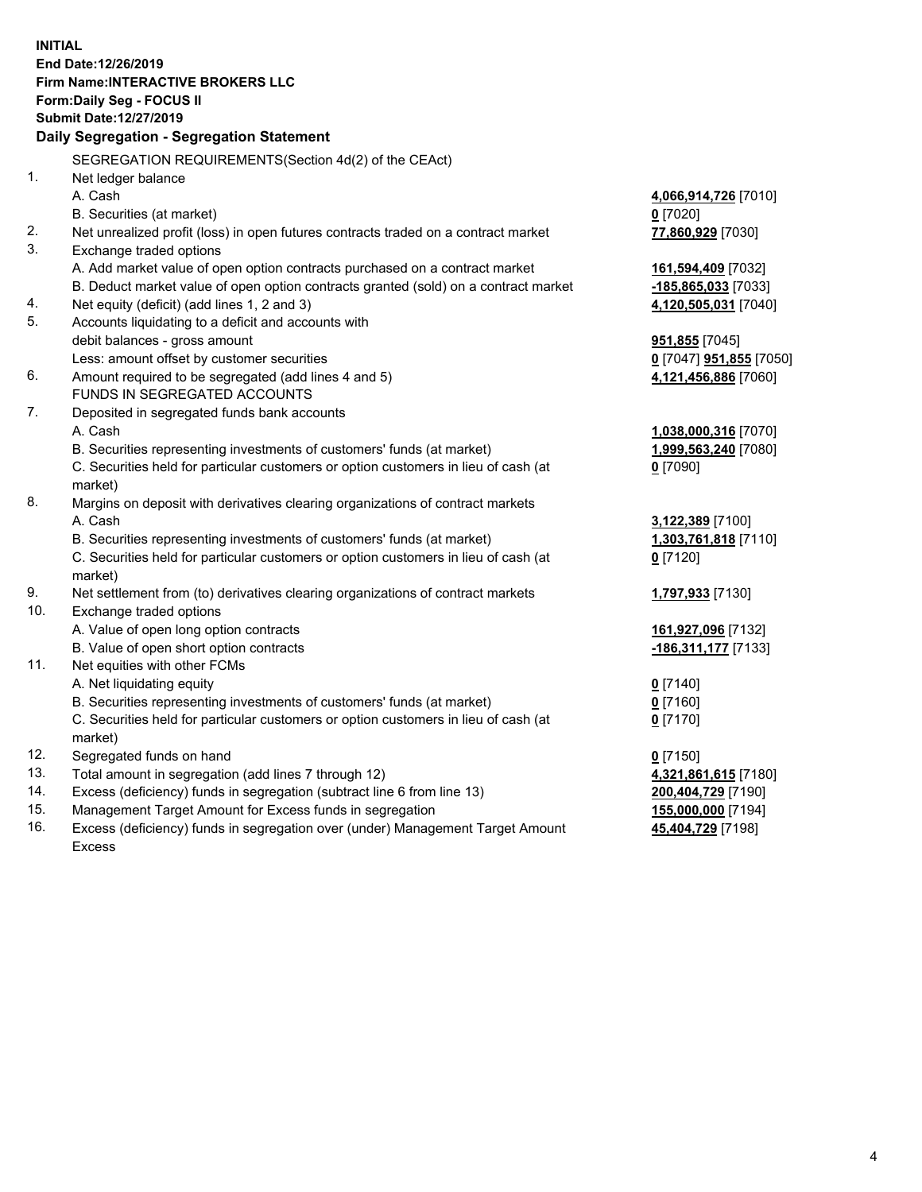**INITIAL End Date:12/26/2019 Firm Name:INTERACTIVE BROKERS LLC Form:Daily Seg - FOCUS II Submit Date:12/27/2019 Daily Segregation - Segregation Statement** SEGREGATION REQUIREMENTS(Section 4d(2) of the CEAct) 1. Net ledger balance A. Cash **4,066,914,726** [7010] B. Securities (at market) **0** [7020] 2. Net unrealized profit (loss) in open futures contracts traded on a contract market **77,860,929** [7030] 3. Exchange traded options A. Add market value of open option contracts purchased on a contract market **161,594,409** [7032] B. Deduct market value of open option contracts granted (sold) on a contract market **-185,865,033** [7033] 4. Net equity (deficit) (add lines 1, 2 and 3) **4,120,505,031** [7040] 5. Accounts liquidating to a deficit and accounts with debit balances - gross amount **951,855** [7045] Less: amount offset by customer securities **0** [7047] **951,855** [7050] 6. Amount required to be segregated (add lines 4 and 5) **4,121,456,886** [7060] FUNDS IN SEGREGATED ACCOUNTS 7. Deposited in segregated funds bank accounts A. Cash **1,038,000,316** [7070] B. Securities representing investments of customers' funds (at market) **1,999,563,240** [7080] C. Securities held for particular customers or option customers in lieu of cash (at market) **0** [7090] 8. Margins on deposit with derivatives clearing organizations of contract markets A. Cash **3,122,389** [7100] B. Securities representing investments of customers' funds (at market) **1,303,761,818** [7110] C. Securities held for particular customers or option customers in lieu of cash (at market) **0** [7120] 9. Net settlement from (to) derivatives clearing organizations of contract markets **1,797,933** [7130] 10. Exchange traded options A. Value of open long option contracts **161,927,096** [7132] B. Value of open short option contracts **-186,311,177** [7133] 11. Net equities with other FCMs A. Net liquidating equity **0** [7140] B. Securities representing investments of customers' funds (at market) **0** [7160] C. Securities held for particular customers or option customers in lieu of cash (at market) **0** [7170] 12. Segregated funds on hand **0** [7150] 13. Total amount in segregation (add lines 7 through 12) **4,321,861,615** [7180] 14. Excess (deficiency) funds in segregation (subtract line 6 from line 13) **200,404,729** [7190] 15. Management Target Amount for Excess funds in segregation **155,000,000** [7194]

16. Excess (deficiency) funds in segregation over (under) Management Target Amount Excess

**45,404,729** [7198]